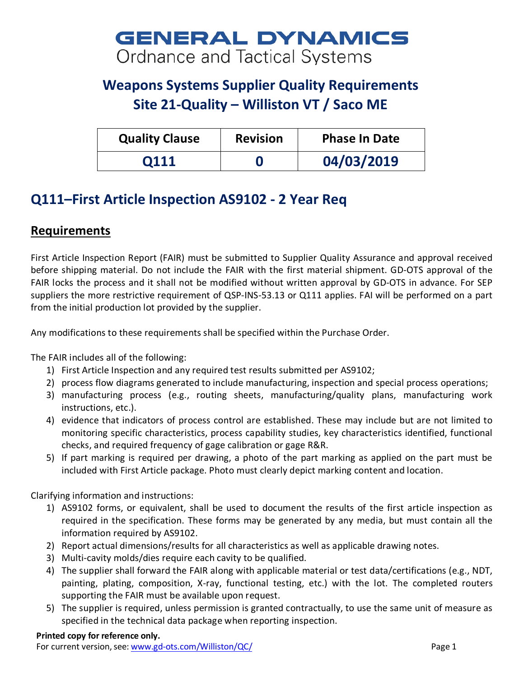# **GENERAL DYNAMICS** Ordnance and Tactical Systems

# **Weapons Systems Supplier Quality Requirements Site 21-Quality – Williston VT / Saco ME**

| <b>Quality Clause</b> | <b>Revision</b> | <b>Phase In Date</b> |
|-----------------------|-----------------|----------------------|
| <b>Q111</b>           |                 | 04/03/2019           |

## **Q111–First Article Inspection AS9102 - 2 Year Req**

### **Requirements**

First Article Inspection Report (FAIR) must be submitted to Supplier Quality Assurance and approval received before shipping material. Do not include the FAIR with the first material shipment. GD-OTS approval of the FAIR locks the process and it shall not be modified without written approval by GD-OTS in advance. For SEP suppliers the more restrictive requirement of QSP-INS-53.13 or Q111 applies. FAI will be performed on a part from the initial production lot provided by the supplier.

Any modifications to these requirements shall be specified within the Purchase Order.

The FAIR includes all of the following:

- 1) First Article Inspection and any required test results submitted per AS9102;
- 2) process flow diagrams generated to include manufacturing, inspection and special process operations;
- 3) manufacturing process (e.g., routing sheets, manufacturing/quality plans, manufacturing work instructions, etc.).
- 4) evidence that indicators of process control are established. These may include but are not limited to monitoring specific characteristics, process capability studies, key characteristics identified, functional checks, and required frequency of gage calibration or gage R&R.
- 5) If part marking is required per drawing, a photo of the part marking as applied on the part must be included with First Article package. Photo must clearly depict marking content and location.

Clarifying information and instructions:

- 1) AS9102 forms, or equivalent, shall be used to document the results of the first article inspection as required in the specification. These forms may be generated by any media, but must contain all the information required by AS9102.
- 2) Report actual dimensions/results for all characteristics as well as applicable drawing notes.
- 3) Multi-cavity molds/dies require each cavity to be qualified.
- 4) The supplier shall forward the FAIR along with applicable material or test data/certifications (e.g., NDT, painting, plating, composition, X-ray, functional testing, etc.) with the lot. The completed routers supporting the FAIR must be available upon request.
- 5) The supplier is required, unless permission is granted contractually, to use the same unit of measure as specified in the technical data package when reporting inspection.

#### **Printed copy for reference only.**

For current version, see: [www.gd-ots.com/Williston/QC/](http://www.gd-ots.com/Williston/QC/) Page 1